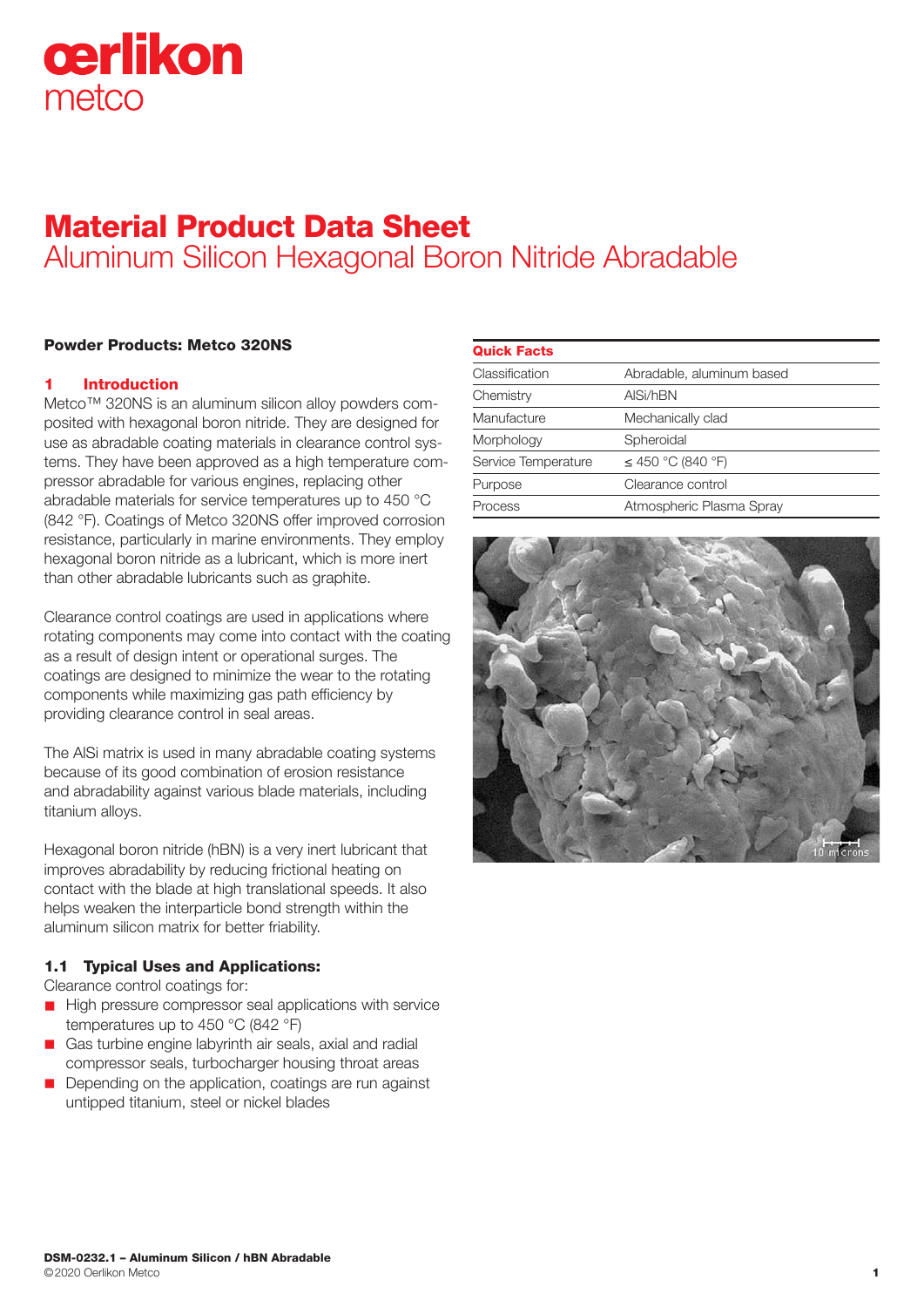# cerlikon metco

# Material Product Data Sheet Aluminum Silicon Hexagonal Boron Nitride Abradable

# Powder Products: Metco 320NS

# **Introduction**

Metco™ 320NS is an aluminum silicon alloy powders composited with hexagonal boron nitride. They are designed for use as abradable coating materials in clearance control systems. They have been approved as a high temperature compressor abradable for various engines, replacing other abradable materials for service temperatures up to 450 °C (842 °F). Coatings of Metco 320NS offer improved corrosion resistance, particularly in marine environments. They employ hexagonal boron nitride as a lubricant, which is more inert than other abradable lubricants such as graphite.

Clearance control coatings are used in applications where rotating components may come into contact with the coating as a result of design intent or operational surges. The coatings are designed to minimize the wear to the rotating components while maximizing gas path efficiency by providing clearance control in seal areas.

The AlSi matrix is used in many abradable coating systems because of its good combination of erosion resistance and abradability against various blade materials, including titanium alloys.

Hexagonal boron nitride (hBN) is a very inert lubricant that improves abradability by reducing frictional heating on contact with the blade at high translational speeds. It also helps weaken the interparticle bond strength within the aluminum silicon matrix for better friability.

# 1.1 Typical Uses and Applications:

Clearance control coatings for:

- $\blacksquare$  High pressure compressor seal applications with service temperatures up to 450 °C (842 °F)
- Gas turbine engine labyrinth air seals, axial and radial compressor seals, turbocharger housing throat areas
- Depending on the application, coatings are run against untipped titanium, steel or nickel blades

| <b>Quick Facts</b>  |                           |
|---------------------|---------------------------|
| Classification      | Abradable, aluminum based |
| Chemistry           | AISi/hBN                  |
| Manufacture         | Mechanically clad         |
| Morphology          | Spheroidal                |
| Service Temperature | $\leq$ 450 °C (840 °F)    |
| Purpose             | Clearance control         |
| Process             | Atmospheric Plasma Spray  |

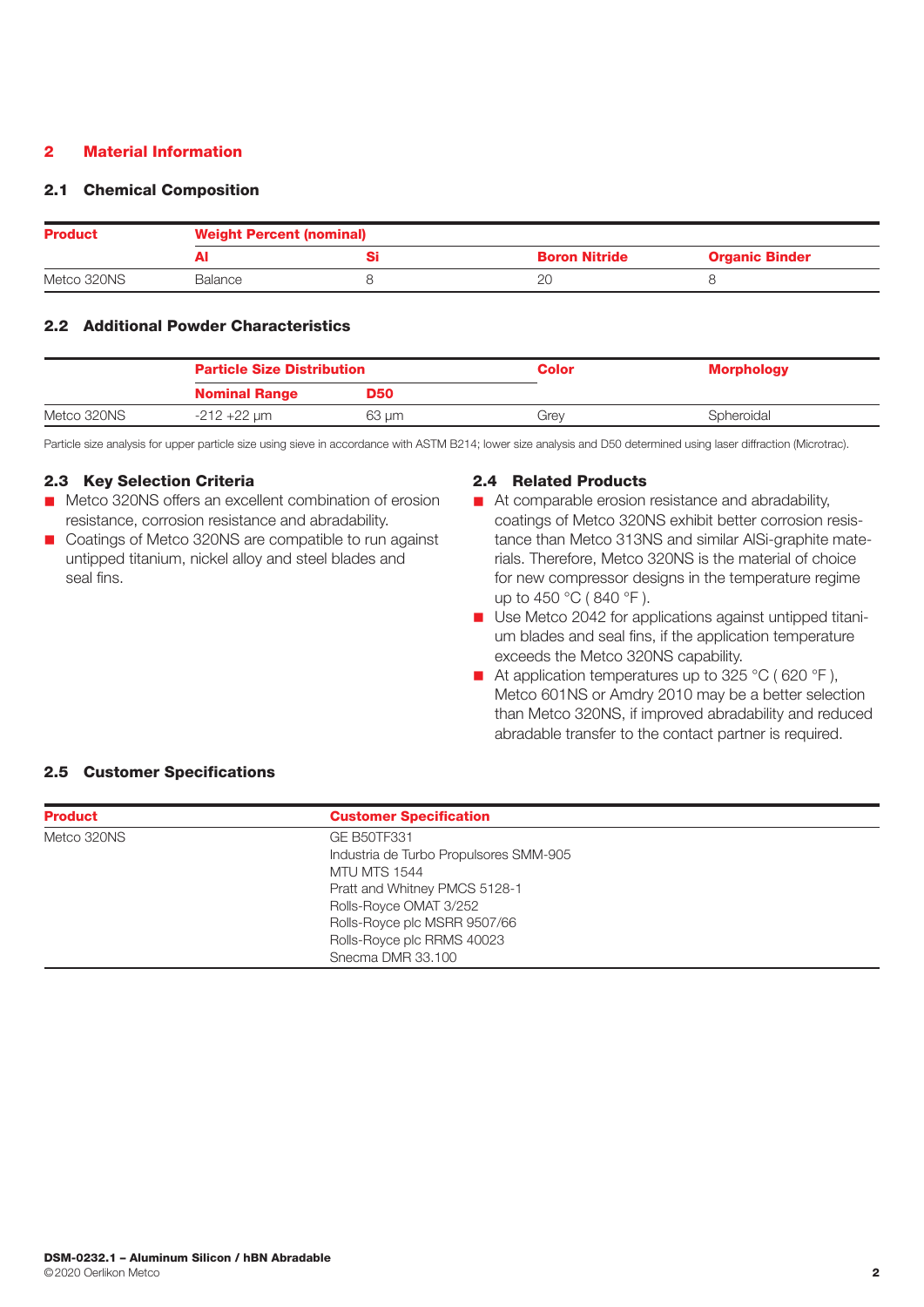# 2 Material Information

# 2.1 Chemical Composition

| <b>Product</b> | <b>Weight Percent (nominal)</b> |  |                      |                       |
|----------------|---------------------------------|--|----------------------|-----------------------|
|                |                                 |  | <b>Boron Nitride</b> | <b>Organic Binder</b> |
| Metco 320NS    | Balance                         |  |                      |                       |

# 2.2 Additional Powder Characteristics

|             | <b>Particle Size Distribution</b> |            | <b>Color</b> | <b>Morphology</b> |
|-------------|-----------------------------------|------------|--------------|-------------------|
|             | <b>Nominal Range</b>              | <b>D50</b> |              |                   |
| Metco 320NS | $-212 + 22 \mu m$                 | 63 µm      | Grev         | Spheroidal        |

Particle size analysis for upper particle size using sieve in accordance with ASTM B214; lower size analysis and D50 determined using laser diffraction (Microtrac).

#### 2.3 Key Selection Criteria

- Metco 320NS offers an excellent combination of erosion resistance, corrosion resistance and abradability.
- Coatings of Metco 320NS are compatible to run against untipped titanium, nickel alloy and steel blades and seal fins.

#### 2.4 Related Products

- $\blacksquare$  At comparable erosion resistance and abradability, coatings of Metco 320NS exhibit better corrosion resistance than Metco 313NS and similar AlSi-graphite materials. Therefore, Metco 320NS is the material of choice for new compressor designs in the temperature regime up to 450 °C ( 840 °F ).
- Use Metco 2042 for applications against untipped titanium blades and seal fins, if the application temperature exceeds the Metco 320NS capability.
- At application temperatures up to 325 °C (620 °F), Metco 601NS or Amdry 2010 may be a better selection than Metco 320NS, if improved abradability and reduced abradable transfer to the contact partner is required.

# 2.5 Customer Specifications

| <b>Product</b> | <b>Customer Specification</b>          |  |
|----------------|----------------------------------------|--|
| Metco 320NS    | <b>GE B50TF331</b>                     |  |
|                | Industria de Turbo Propulsores SMM-905 |  |
|                | <b>MTU MTS 1544</b>                    |  |
|                | Pratt and Whitney PMCS 5128-1          |  |
|                | Rolls-Royce OMAT 3/252                 |  |
|                | Rolls-Royce plc MSRR 9507/66           |  |
|                | Rolls-Royce plc RRMS 40023             |  |
|                | Snecma DMR 33.100                      |  |